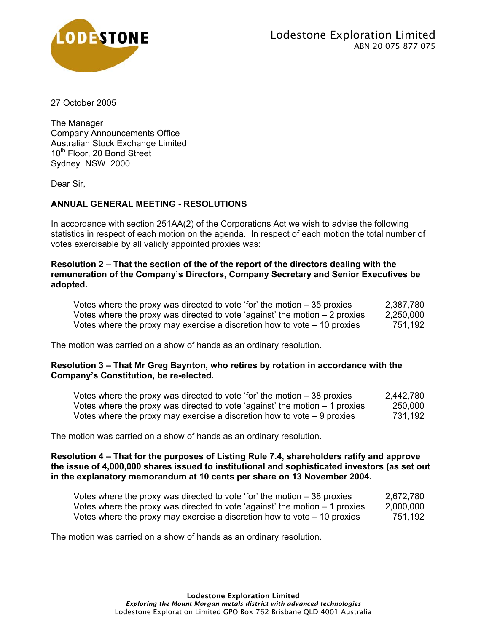

27 October 2005

The Manager Company Announcements Office Australian Stock Exchange Limited 10<sup>th</sup> Floor, 20 Bond Street Sydney NSW 2000

Dear Sir,

# **ANNUAL GENERAL MEETING - RESOLUTIONS**

In accordance with section 251AA(2) of the Corporations Act we wish to advise the following statistics in respect of each motion on the agenda. In respect of each motion the total number of votes exercisable by all validly appointed proxies was:

## **Resolution 2 – That the section of the of the report of the directors dealing with the remuneration of the Company's Directors, Company Secretary and Senior Executives be adopted.**

| Votes where the proxy was directed to vote 'for' the motion $-35$ proxies    | 2,387,780 |
|------------------------------------------------------------------------------|-----------|
| Votes where the proxy was directed to vote 'against' the motion $-2$ proxies | 2,250,000 |
| Votes where the proxy may exercise a discretion how to vote $-10$ proxies    | 751,192   |

The motion was carried on a show of hands as an ordinary resolution.

## **Resolution 3 – That Mr Greg Baynton, who retires by rotation in accordance with the Company's Constitution, be re-elected.**

| Votes where the proxy was directed to vote 'for' the motion $-38$ proxies    | 2,442,780 |
|------------------------------------------------------------------------------|-----------|
| Votes where the proxy was directed to vote 'against' the motion $-1$ proxies | 250,000   |
| Votes where the proxy may exercise a discretion how to vote $-9$ proxies     | 731,192   |

The motion was carried on a show of hands as an ordinary resolution.

#### **Resolution 4 – That for the purposes of Listing Rule 7.4, shareholders ratify and approve the issue of 4,000,000 shares issued to institutional and sophisticated investors (as set out in the explanatory memorandum at 10 cents per share on 13 November 2004.**

| Votes where the proxy was directed to vote 'for' the motion $-38$ proxies    | 2,672,780 |
|------------------------------------------------------------------------------|-----------|
| Votes where the proxy was directed to vote 'against' the motion $-1$ proxies | 2,000,000 |
| Votes where the proxy may exercise a discretion how to vote $-10$ proxies    | 751,192   |

The motion was carried on a show of hands as an ordinary resolution.